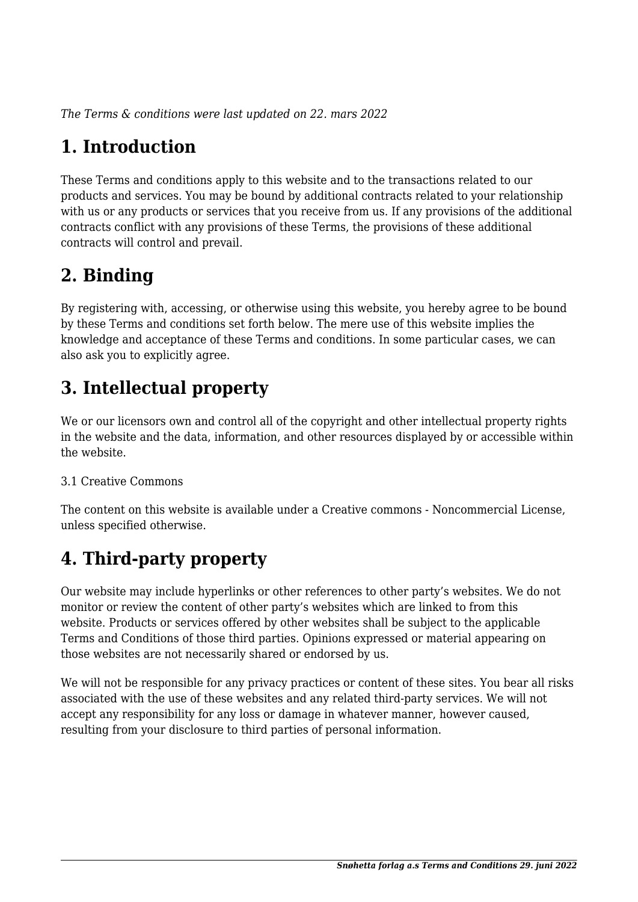*The Terms & conditions were last updated on 22. mars 2022*

# **1. Introduction**

These Terms and conditions apply to this website and to the transactions related to our products and services. You may be bound by additional contracts related to your relationship with us or any products or services that you receive from us. If any provisions of the additional contracts conflict with any provisions of these Terms, the provisions of these additional contracts will control and prevail.

## **2. Binding**

By registering with, accessing, or otherwise using this website, you hereby agree to be bound by these Terms and conditions set forth below. The mere use of this website implies the knowledge and acceptance of these Terms and conditions. In some particular cases, we can also ask you to explicitly agree.

# **3. Intellectual property**

We or our licensors own and control all of the copyright and other intellectual property rights in the website and the data, information, and other resources displayed by or accessible within the website.

#### 3.1 Creative Commons

The content on this website is available under a Creative commons - Noncommercial License, unless specified otherwise.

# **4. Third-party property**

Our website may include hyperlinks or other references to other party's websites. We do not monitor or review the content of other party's websites which are linked to from this website. Products or services offered by other websites shall be subject to the applicable Terms and Conditions of those third parties. Opinions expressed or material appearing on those websites are not necessarily shared or endorsed by us.

We will not be responsible for any privacy practices or content of these sites. You bear all risks associated with the use of these websites and any related third-party services. We will not accept any responsibility for any loss or damage in whatever manner, however caused, resulting from your disclosure to third parties of personal information.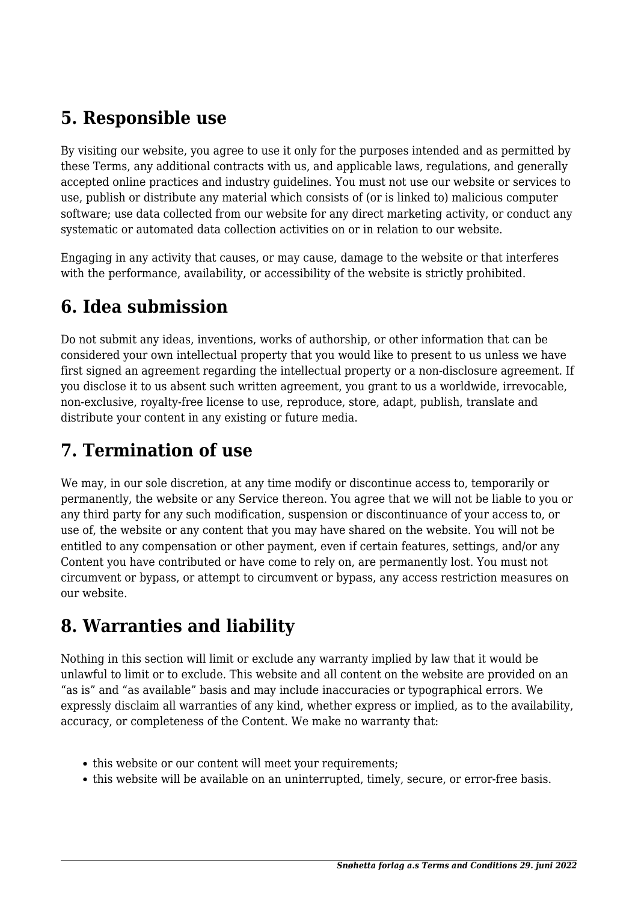#### **5. Responsible use**

By visiting our website, you agree to use it only for the purposes intended and as permitted by these Terms, any additional contracts with us, and applicable laws, regulations, and generally accepted online practices and industry guidelines. You must not use our website or services to use, publish or distribute any material which consists of (or is linked to) malicious computer software; use data collected from our website for any direct marketing activity, or conduct any systematic or automated data collection activities on or in relation to our website.

Engaging in any activity that causes, or may cause, damage to the website or that interferes with the performance, availability, or accessibility of the website is strictly prohibited.

#### **6. Idea submission**

Do not submit any ideas, inventions, works of authorship, or other information that can be considered your own intellectual property that you would like to present to us unless we have first signed an agreement regarding the intellectual property or a non-disclosure agreement. If you disclose it to us absent such written agreement, you grant to us a worldwide, irrevocable, non-exclusive, royalty-free license to use, reproduce, store, adapt, publish, translate and distribute your content in any existing or future media.

#### **7. Termination of use**

We may, in our sole discretion, at any time modify or discontinue access to, temporarily or permanently, the website or any Service thereon. You agree that we will not be liable to you or any third party for any such modification, suspension or discontinuance of your access to, or use of, the website or any content that you may have shared on the website. You will not be entitled to any compensation or other payment, even if certain features, settings, and/or any Content you have contributed or have come to rely on, are permanently lost. You must not circumvent or bypass, or attempt to circumvent or bypass, any access restriction measures on our website.

#### **8. Warranties and liability**

Nothing in this section will limit or exclude any warranty implied by law that it would be unlawful to limit or to exclude. This website and all content on the website are provided on an "as is" and "as available" basis and may include inaccuracies or typographical errors. We expressly disclaim all warranties of any kind, whether express or implied, as to the availability, accuracy, or completeness of the Content. We make no warranty that:

- this website or our content will meet your requirements;
- this website will be available on an uninterrupted, timely, secure, or error-free basis.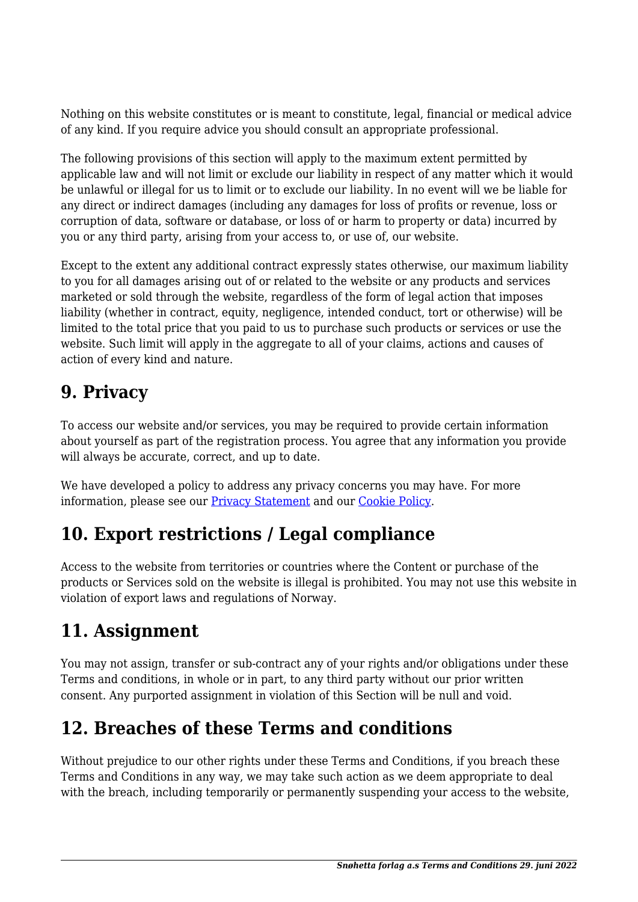Nothing on this website constitutes or is meant to constitute, legal, financial or medical advice of any kind. If you require advice you should consult an appropriate professional.

The following provisions of this section will apply to the maximum extent permitted by applicable law and will not limit or exclude our liability in respect of any matter which it would be unlawful or illegal for us to limit or to exclude our liability. In no event will we be liable for any direct or indirect damages (including any damages for loss of profits or revenue, loss or corruption of data, software or database, or loss of or harm to property or data) incurred by you or any third party, arising from your access to, or use of, our website.

Except to the extent any additional contract expressly states otherwise, our maximum liability to you for all damages arising out of or related to the website or any products and services marketed or sold through the website, regardless of the form of legal action that imposes liability (whether in contract, equity, negligence, intended conduct, tort or otherwise) will be limited to the total price that you paid to us to purchase such products or services or use the website. Such limit will apply in the aggregate to all of your claims, actions and causes of action of every kind and nature.

#### **9. Privacy**

To access our website and/or services, you may be required to provide certain information about yourself as part of the registration process. You agree that any information you provide will always be accurate, correct, and up to date.

We have developed a policy to address any privacy concerns you may have. For more information, please see our Privacy Statement and our [Cookie Policy](https://snohetta.no/cookieerklaering-eu/).

### **10. Export restrictions / Legal compliance**

Access to the website from territories or countries where the Content or purchase of the products or Services sold on the website is illegal is prohibited. You may not use this website in violation of export laws and regulations of Norway.

#### **11. Assignment**

You may not assign, transfer or sub-contract any of your rights and/or obligations under these Terms and conditions, in whole or in part, to any third party without our prior written consent. Any purported assignment in violation of this Section will be null and void.

### **12. Breaches of these Terms and conditions**

Without prejudice to our other rights under these Terms and Conditions, if you breach these Terms and Conditions in any way, we may take such action as we deem appropriate to deal with the breach, including temporarily or permanently suspending your access to the website,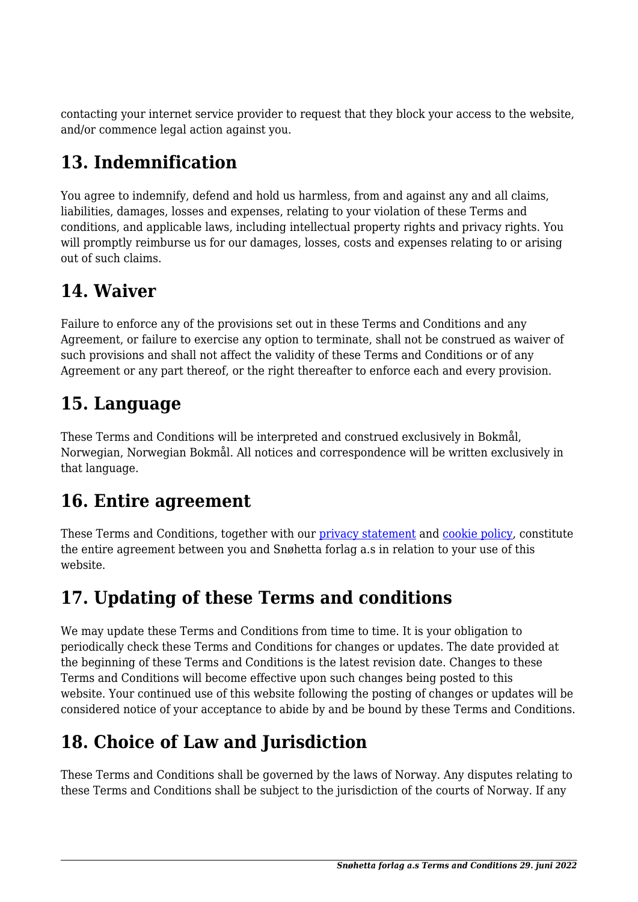contacting your internet service provider to request that they block your access to the website, and/or commence legal action against you.

# **13. Indemnification**

You agree to indemnify, defend and hold us harmless, from and against any and all claims, liabilities, damages, losses and expenses, relating to your violation of these Terms and conditions, and applicable laws, including intellectual property rights and privacy rights. You will promptly reimburse us for our damages, losses, costs and expenses relating to or arising out of such claims.

#### **14. Waiver**

Failure to enforce any of the provisions set out in these Terms and Conditions and any Agreement, or failure to exercise any option to terminate, shall not be construed as waiver of such provisions and shall not affect the validity of these Terms and Conditions or of any Agreement or any part thereof, or the right thereafter to enforce each and every provision.

#### **15. Language**

These Terms and Conditions will be interpreted and construed exclusively in Bokmål, Norwegian, Norwegian Bokmål. All notices and correspondence will be written exclusively in that language.

#### **16. Entire agreement**

These Terms and Conditions, together with our privacy statement and [cookie policy,](https://snohetta.no/cookieerklaering-eu/) constitute the entire agreement between you and Snøhetta forlag a.s in relation to your use of this website.

# **17. Updating of these Terms and conditions**

We may update these Terms and Conditions from time to time. It is your obligation to periodically check these Terms and Conditions for changes or updates. The date provided at the beginning of these Terms and Conditions is the latest revision date. Changes to these Terms and Conditions will become effective upon such changes being posted to this website. Your continued use of this website following the posting of changes or updates will be considered notice of your acceptance to abide by and be bound by these Terms and Conditions.

# **18. Choice of Law and Jurisdiction**

These Terms and Conditions shall be governed by the laws of Norway. Any disputes relating to these Terms and Conditions shall be subject to the jurisdiction of the courts of Norway. If any